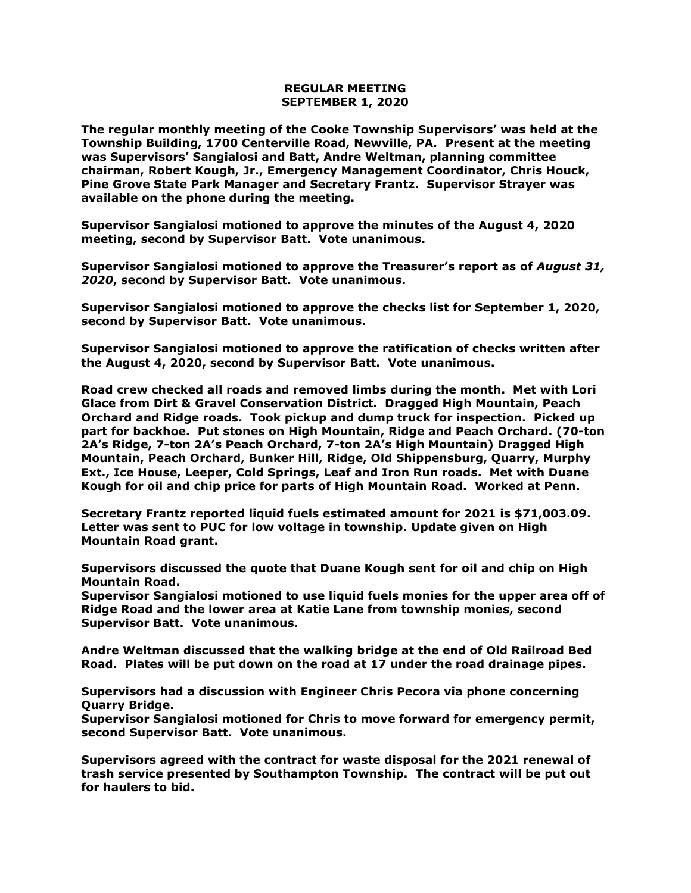## **REGULAR MEETING SEPTEMBER 1, 2020**

**The regular monthly meeting of the Cooke Township Supervisors' was held at the Township Building, 1700 Centerville Road, Newville, PA. Present at the meeting was Supervisors' Sangialosi and Batt, Andre Weltman, planning committee chairman, Robert Kough, Jr., Emergency Management Coordinator, Chris Houck, Pine Grove State Park Manager and Secretary Frantz. Supervisor Strayer was available on the phone during the meeting.**

**Supervisor Sangialosi motioned to approve the minutes of the August 4, 2020 meeting, second by Supervisor Batt. Vote unanimous.** 

**Supervisor Sangialosi motioned to approve the Treasurer's report as of** *August 31, 2020***, second by Supervisor Batt. Vote unanimous.**

**Supervisor Sangialosi motioned to approve the checks list for September 1, 2020, second by Supervisor Batt. Vote unanimous.**

**Supervisor Sangialosi motioned to approve the ratification of checks written after the August 4, 2020, second by Supervisor Batt. Vote unanimous.**

**Road crew checked all roads and removed limbs during the month. Met with Lori Glace from Dirt & Gravel Conservation District. Dragged High Mountain, Peach Orchard and Ridge roads. Took pickup and dump truck for inspection. Picked up part for backhoe. Put stones on High Mountain, Ridge and Peach Orchard. (70-ton 2A's Ridge, 7-ton 2A's Peach Orchard, 7-ton 2A's High Mountain) Dragged High Mountain, Peach Orchard, Bunker Hill, Ridge, Old Shippensburg, Quarry, Murphy Ext., Ice House, Leeper, Cold Springs, Leaf and Iron Run roads. Met with Duane Kough for oil and chip price for parts of High Mountain Road. Worked at Penn.**

**Secretary Frantz reported liquid fuels estimated amount for 2021 is \$71,003.09. Letter was sent to PUC for low voltage in township. Update given on High Mountain Road grant.** 

**Supervisors discussed the quote that Duane Kough sent for oil and chip on High Mountain Road.** 

**Supervisor Sangialosi motioned to use liquid fuels monies for the upper area off of Ridge Road and the lower area at Katie Lane from township monies, second Supervisor Batt. Vote unanimous.**

**Andre Weltman discussed that the walking bridge at the end of Old Railroad Bed Road. Plates will be put down on the road at 17 under the road drainage pipes.** 

**Supervisors had a discussion with Engineer Chris Pecora via phone concerning Quarry Bridge.**

**Supervisor Sangialosi motioned for Chris to move forward for emergency permit, second Supervisor Batt. Vote unanimous.**

**Supervisors agreed with the contract for waste disposal for the 2021 renewal of trash service presented by Southampton Township. The contract will be put out for haulers to bid.**